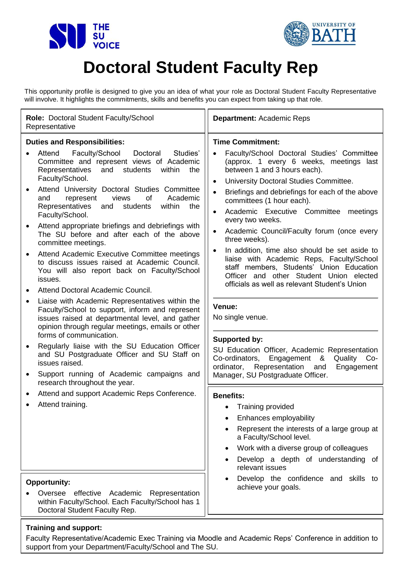



## **Doctoral Student Faculty Rep**

This opportunity profile is designed to give you an idea of what your role as Doctoral Student Faculty Representative will involve. It highlights the commitments, skills and benefits you can expect from taking up that role.

| Role: Doctoral Student Faculty/School<br>Representative                                                                                                                                                                                                                                                                                                                                                                                                                                                                                                                                                                                                                                                                                                                                                                                                                                                                                                                                                                                                                                                                                                    | <b>Department: Academic Reps</b>                                                                                                                                                                                                                                                                                                                                                                                                                                                                                                                                                                                                                                                                                                                                                                                                                                                                                                                                                            |  |  |
|------------------------------------------------------------------------------------------------------------------------------------------------------------------------------------------------------------------------------------------------------------------------------------------------------------------------------------------------------------------------------------------------------------------------------------------------------------------------------------------------------------------------------------------------------------------------------------------------------------------------------------------------------------------------------------------------------------------------------------------------------------------------------------------------------------------------------------------------------------------------------------------------------------------------------------------------------------------------------------------------------------------------------------------------------------------------------------------------------------------------------------------------------------|---------------------------------------------------------------------------------------------------------------------------------------------------------------------------------------------------------------------------------------------------------------------------------------------------------------------------------------------------------------------------------------------------------------------------------------------------------------------------------------------------------------------------------------------------------------------------------------------------------------------------------------------------------------------------------------------------------------------------------------------------------------------------------------------------------------------------------------------------------------------------------------------------------------------------------------------------------------------------------------------|--|--|
| <b>Duties and Responsibilities:</b><br>Studies'<br>Attend<br>Faculty/School<br>Doctoral<br>Committee and represent views of Academic<br>Representatives<br>and<br>students<br>within<br>the<br>Faculty/School.<br>Attend University Doctoral Studies Committee<br>Academic<br>and<br>represent<br>views<br>of<br>Representatives<br>students<br>and<br>within<br>the<br>Faculty/School.<br>Attend appropriate briefings and debriefings with<br>The SU before and after each of the above<br>committee meetings.<br>Attend Academic Executive Committee meetings<br>to discuss issues raised at Academic Council.<br>You will also report back on Faculty/School<br>issues.<br>Attend Doctoral Academic Council.<br>Liaise with Academic Representatives within the<br>Faculty/School to support, inform and represent<br>issues raised at departmental level, and gather<br>opinion through regular meetings, emails or other<br>forms of communication.<br>Regularly liaise with the SU Education Officer<br>and SU Postgraduate Officer and SU Staff on<br>issues raised.<br>Support running of Academic campaigns and<br>research throughout the year. | <b>Time Commitment:</b><br>Faculty/School Doctoral Studies' Committee<br>$\bullet$<br>(approx. 1 every 6 weeks, meetings last<br>between 1 and 3 hours each).<br>University Doctoral Studies Committee.<br>$\bullet$<br>Briefings and debriefings for each of the above<br>$\bullet$<br>committees (1 hour each).<br>Academic Executive Committee<br>meetings<br>$\bullet$<br>every two weeks.<br>Academic Council/Faculty forum (once every<br>$\bullet$<br>three weeks).<br>In addition, time also should be set aside to<br>$\bullet$<br>liaise with Academic Reps, Faculty/School<br>staff members, Students' Union Education<br>Officer and other Student Union elected<br>officials as well as relevant Student's Union<br>Venue:<br>No single venue.<br>Supported by:<br>SU Education Officer, Academic Representation<br>Co-ordinators,<br>Engagement<br><u>&amp;</u><br>Quality<br>$Co-$<br>ordinator,<br>Representation<br>Engagement<br>and<br>Manager, SU Postgraduate Officer. |  |  |
| Attend and support Academic Reps Conference.<br>Attend training.                                                                                                                                                                                                                                                                                                                                                                                                                                                                                                                                                                                                                                                                                                                                                                                                                                                                                                                                                                                                                                                                                           | <b>Benefits:</b><br>• Training provided<br>Enhances employability<br>Represent the interests of a large group at<br>a Faculty/School level.<br>Work with a diverse group of colleagues<br>$\bullet$<br>Develop a depth of understanding of<br>$\bullet$<br>relevant issues<br>Develop the confidence and skills to                                                                                                                                                                                                                                                                                                                                                                                                                                                                                                                                                                                                                                                                          |  |  |
| <b>Opportunity:</b><br>Oversee effective Academic<br>Representation<br>within Faculty/School. Each Faculty/School has 1<br>Doctoral Student Faculty Rep.                                                                                                                                                                                                                                                                                                                                                                                                                                                                                                                                                                                                                                                                                                                                                                                                                                                                                                                                                                                                   | achieve your goals.                                                                                                                                                                                                                                                                                                                                                                                                                                                                                                                                                                                                                                                                                                                                                                                                                                                                                                                                                                         |  |  |

## **Training and support:**

Faculty Representative/Academic Exec Training via Moodle and Academic Reps' Conference in addition to support from your Department/Faculty/School and The SU.